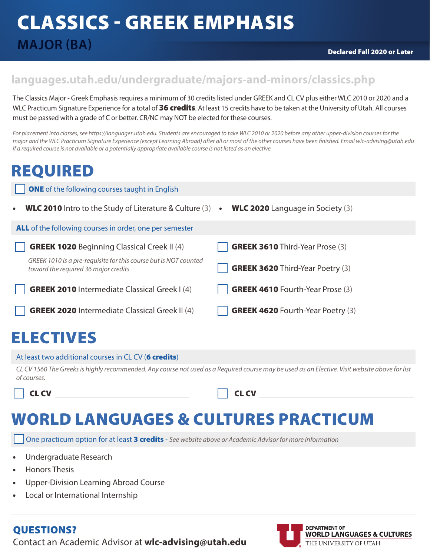# CLASSICS - GREEK EMPHASIS

### **MAJOR (BA)**

### **languages.utah.edu/undergraduate/majors-and-minors/classics.php**

The Classics Major - Greek Emphasis requires a minimum of 30 credits listed under GREEK and CL CV plus either WLC 2010 or 2020 and a WLC Practicum Signature Experience for a total of 36 credits. At least 15 credits have to be taken at the University of Utah. All courses must be passed with a grade of C or better. CR/NC may NOT be elected for these courses.

For placement into classes, see https://languages.utah.edu. Students are encouraged to take WLC 2010 or 2020 before any other upper-division courses for the *major and the WLC Practicum Signature Experience (except Learning Abroad) after all or most of the other courses have been finished. Email wlc-advising@utah.edu if a required course is not available or a potentially appropriate available course is not listed as an elective.*

## REQUIRED

ONE of the following courses taught in English

**WLC 2010** Intro to the Study of Literature & Culture  $(3)$  • **WLC 2020** Language in Society  $(3)$ 

ALL of the following courses in order, one per semester

**GREEK 1020** Beginning Classical Creek II (4)

*GREEK 1010 is a pre-requisite for this course but is NOT counted toward the required 36 major credits*

GREEK 2010 Intermediate Classical Greek I (4)

GREEK 2020 Intermediate Classical Greek II (4)

| GREEK 3610 Third-Year Prose (3)            |
|--------------------------------------------|
| GREEK 3620 Third-Year Poetry (3)           |
| GREEK 4610 Fourth-Year Prose (3)           |
| <b>GREEK 4620</b> Fourth-Year Poetry $(3)$ |

## ELECTIVES

### At least two additional courses in CL CV (6 credits)

*CL CV 1560 The Greeks is highly recommended. Any course not used as a Required course may be used as an Elective. Visit website above for list of courses.*

CL CV CL CV

## WORLD LANGUAGES & CULTURES PRACTICUM

One practicum option for at least 3 credits - *See website above or Academic Advisor for more information*

- Undergraduate Research
- Honors Thesis
- Upper-Division Learning Abroad Course
- Local or International Internship

QUESTIONS?

Contact an Academic Advisor at **wlc-advising@utah.edu**